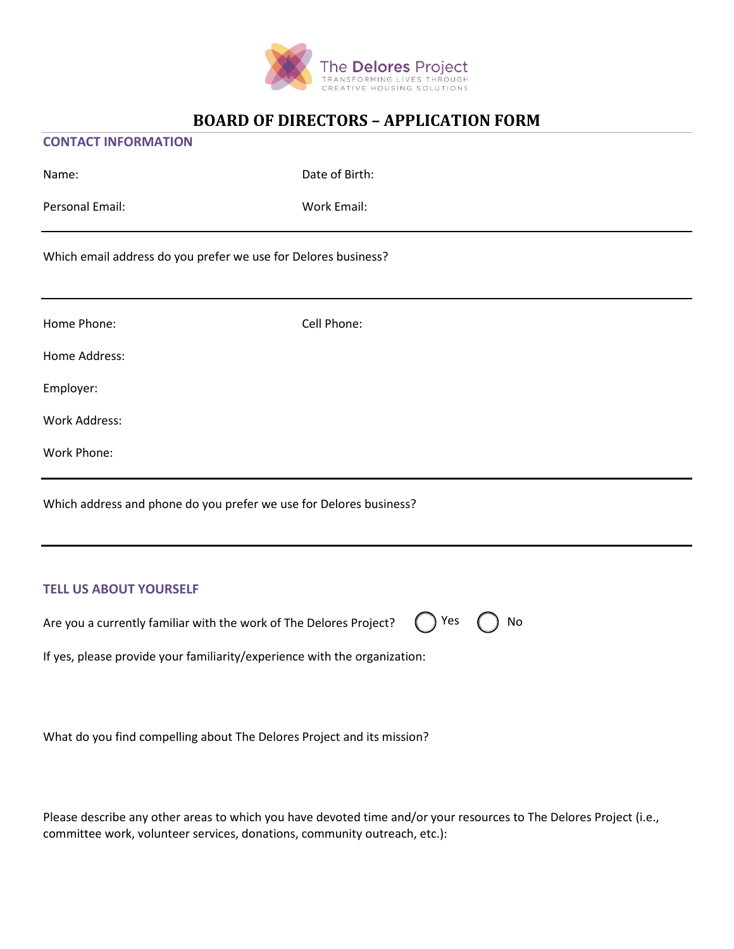

#### **CONTACT INFORMATION**

| Name:                                                              | Date of Birth: |
|--------------------------------------------------------------------|----------------|
| Personal Email:                                                    | Work Email:    |
| Which email address do you prefer we use for Delores business?     |                |
| Home Phone:                                                        | Cell Phone:    |
| Home Address:                                                      |                |
| Employer:                                                          |                |
| Work Address:                                                      |                |
| Work Phone:                                                        |                |
| Which address and phone do you prefer we use for Delores business? |                |
| <b>TELL US ABOUT YOURSELF</b>                                      |                |

Yes ( ) No

Are you a currently familiar with the work of The Delores Project?

If yes, please provide your familiarity/experience with the organization:

What do you find compelling about The Delores Project and its mission?

Please describe any other areas to which you have devoted time and/or your resources to The Delores Project (i.e., committee work, volunteer services, donations, community outreach, etc.):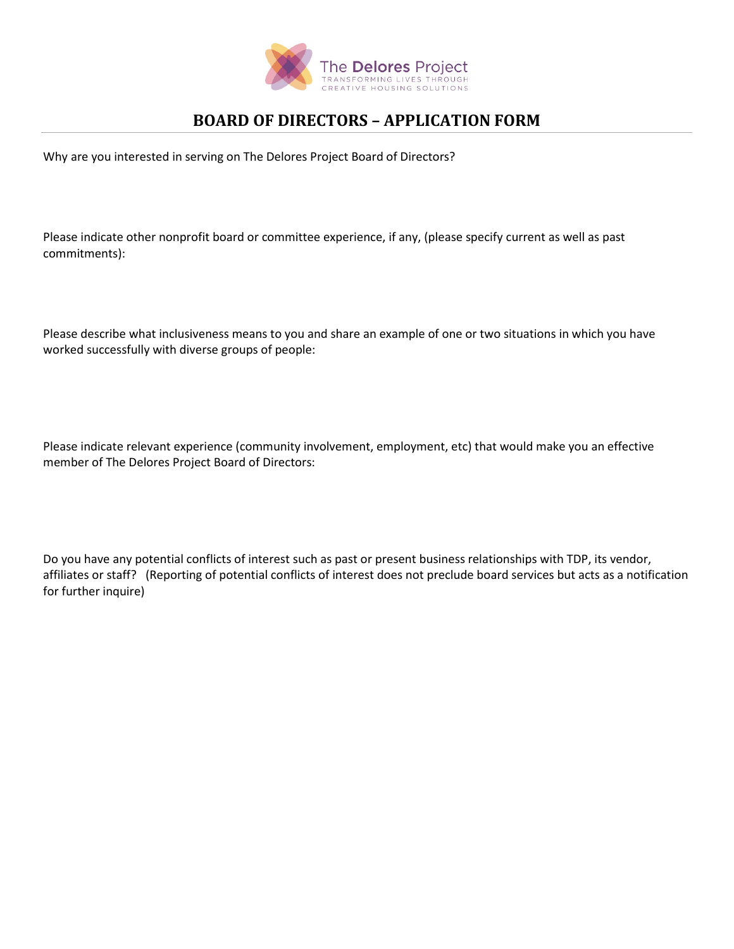

Why are you interested in serving on The Delores Project Board of Directors?

Please indicate other nonprofit board or committee experience, if any, (please specify current as well as past commitments):

Please describe what inclusiveness means to you and share an example of one or two situations in which you have worked successfully with diverse groups of people:

Please indicate relevant experience (community involvement, employment, etc) that would make you an effective member of The Delores Project Board of Directors:

Do you have any potential conflicts of interest such as past or present business relationships with TDP, its vendor, affiliates or staff? (Reporting of potential conflicts of interest does not preclude board services but acts as a notification for further inquire)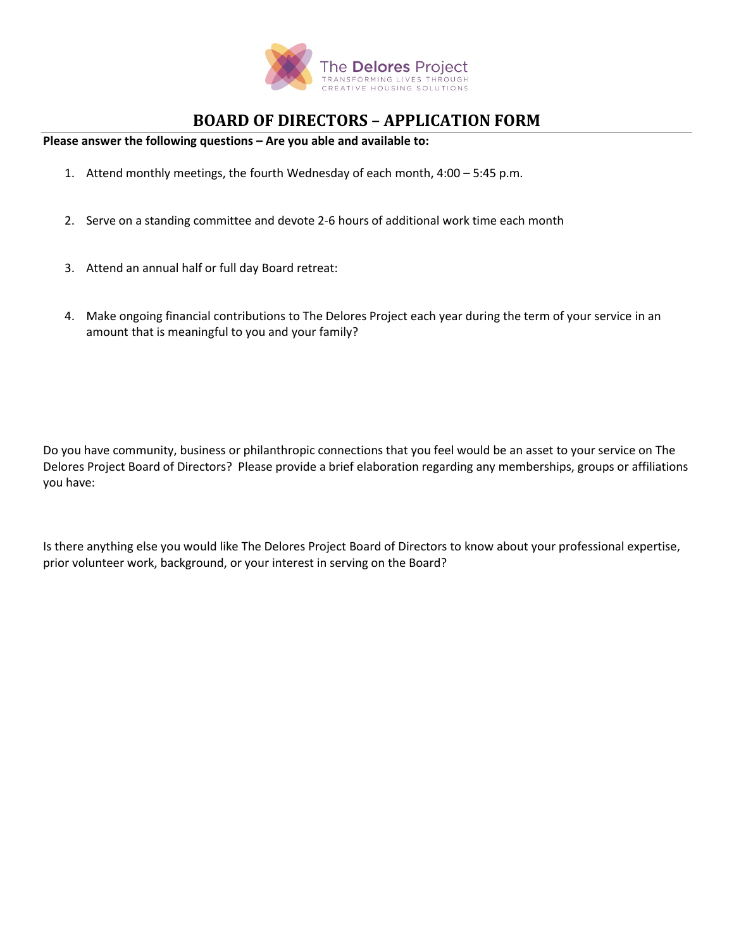

**Please answer the following questions – Are you able and available to:**

- 1. Attend monthly meetings, the fourth Wednesday of each month, 4:00 5:45 p.m.
- 2. Serve on a standing committee and devote 2-6 hours of additional work time each month
- 3. Attend an annual half or full day Board retreat:
- 4. Make ongoing financial contributions to The Delores Project each year during the term of your service in an amount that is meaningful to you and your family?

Do you have community, business or philanthropic connections that you feel would be an asset to your service on The Delores Project Board of Directors? Please provide a brief elaboration regarding any memberships, groups or affiliations you have:

Is there anything else you would like The Delores Project Board of Directors to know about your professional expertise, prior volunteer work, background, or your interest in serving on the Board?